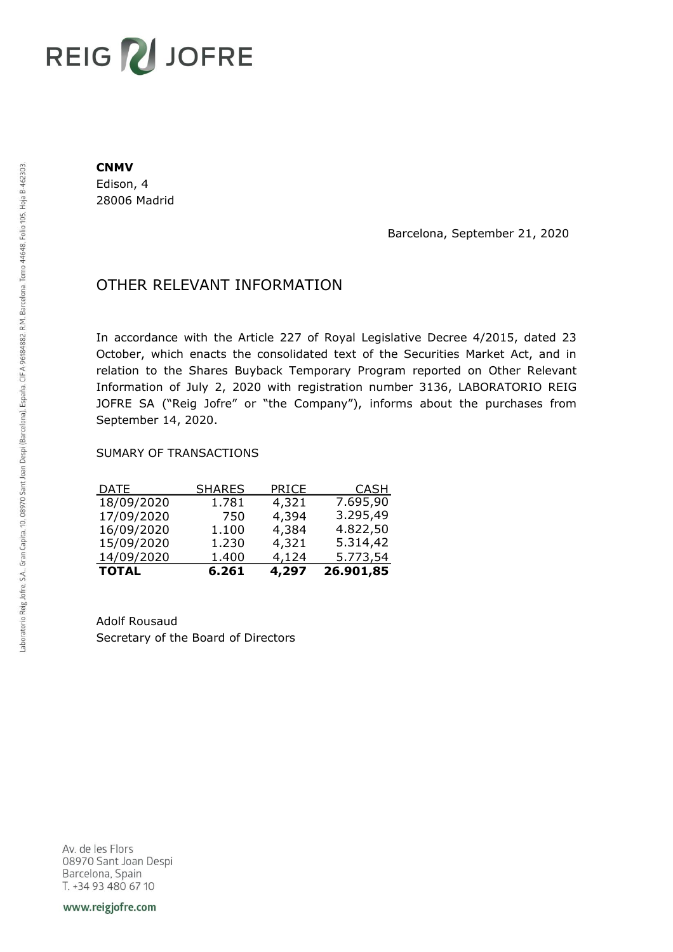# REIG V JOFRE

#### **CNMV**

Edison, 4 28006 Madrid

Barcelona, September 21, 2020

## OTHER RELEVANT INFORMATION

In accordance with the Article 227 of Royal Legislative Decree 4/2015, dated 23 October, which enacts the consolidated text of the Securities Market Act, and in relation to the Shares Buyback Temporary Program reported on Other Relevant Information of July 2, 2020 with registration number 3136, LABORATORIO REIG JOFRE SA ("Reig Jofre" or "the Company"), informs about the purchases from September 14, 2020.

#### SUMARY OF TRANSACTIONS

| <b>TOTAL</b> | 6.261         | 4,297 | 26.901,85   |
|--------------|---------------|-------|-------------|
| 14/09/2020   | 1.400         | 4,124 | 5.773,54    |
| 15/09/2020   | 1.230         | 4,321 | 5.314,42    |
| 16/09/2020   | 1.100         | 4,384 | 4.822,50    |
| 17/09/2020   | 750           | 4,394 | 3.295,49    |
| 18/09/2020   | 1.781         | 4,321 | 7.695,90    |
| <u>DATE</u>  | <b>SHARES</b> | PRICE | <u>CASH</u> |

Adolf Rousaud Secretary of the Board of Directors

Av. de les Flors 08970 Sant Joan Despi Barcelona, Spain T. +34 93 480 67 10

www.reigjofre.com